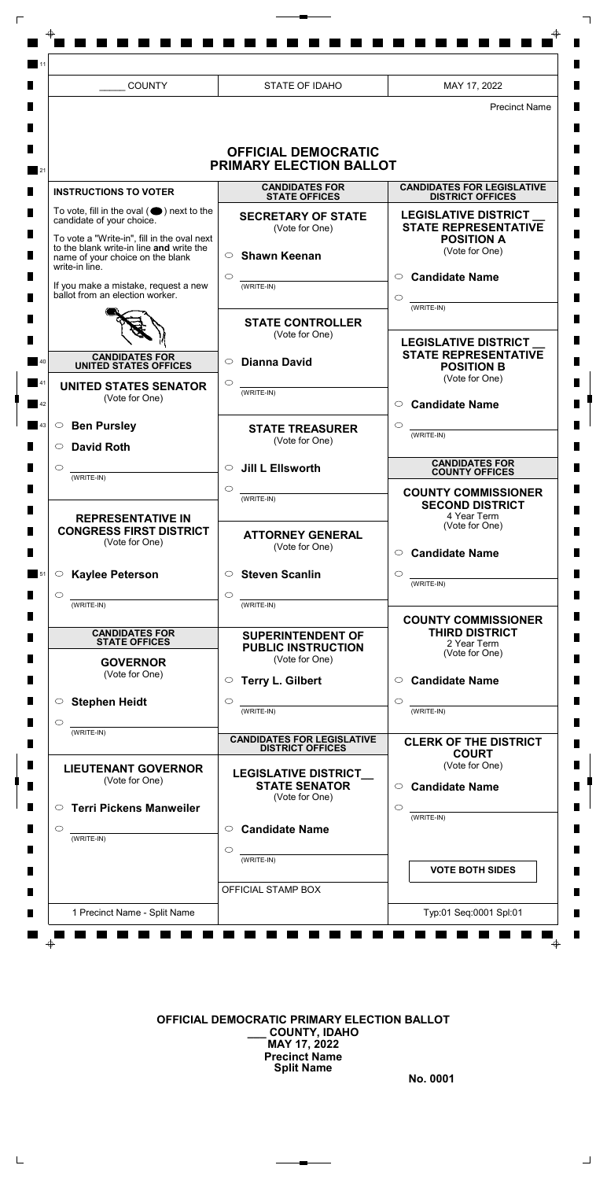## **OFFICIAL DEMOCRATIC PRIMARY ELECTION BALLOT \_\_\_ COUNTY, IDAHO MAY 17, 2022 Precinct Name Split Name**

 $\blacksquare$ 

 $\mathsf{L}$ 

**No. 0001**

 $\Box$ 

|                             | <b>COUNTY</b>                                                                                                                 | STATE OF IDAHO                                                                                                                                  | MAY 17, 2022                                                                          |
|-----------------------------|-------------------------------------------------------------------------------------------------------------------------------|-------------------------------------------------------------------------------------------------------------------------------------------------|---------------------------------------------------------------------------------------|
|                             |                                                                                                                               | <b>OFFICIAL DEMOCRATIC</b><br>PRIMARY ELECTION BALLOT                                                                                           | <b>Precinct Name</b>                                                                  |
|                             | <b>INSTRUCTIONS TO VOTER</b>                                                                                                  | <b>CANDIDATES FOR</b><br><b>STATE OFFICES</b>                                                                                                   | <b>CANDIDATES FOR LEGISLATIVE</b><br><b>DISTRICT OFFICES</b>                          |
|                             | To vote, fill in the oval $(\bullet)$ next to the<br>candidate of your choice.<br>To vote a "Write-in", fill in the oval next | <b>SECRETARY OF STATE</b><br>(Vote for One)                                                                                                     | <b>LEGISLATIVE DISTRICT</b><br><b>STATE REPRESENTATIVE</b><br><b>POSITION A</b>       |
| write-in line.              | to the blank write-in line and write the<br>name of your choice on the blank                                                  | <b>Shawn Keenan</b><br>$\bigcirc$                                                                                                               | (Vote for One)<br>$\circ$ Candidate Name                                              |
|                             | If you make a mistake, request a new<br>ballot from an election worker.                                                       | (WRITE-IN)                                                                                                                                      | ◯<br>(WRITE-IN)                                                                       |
|                             |                                                                                                                               | <b>STATE CONTROLLER</b><br>(Vote for One)                                                                                                       | <b>LEGISLATIVE DISTRICT</b>                                                           |
|                             | <b>CANDIDATES FOR</b><br><b>UNITED STATES OFFICES</b>                                                                         | <b>Dianna David</b><br>$\circ$                                                                                                                  | <b>STATE REPRESENTATIVE</b><br><b>POSITION B</b><br>(Vote for One)                    |
|                             | <b>UNITED STATES SENATOR</b><br>(Vote for One)                                                                                | ◯<br>(WRITE-IN)                                                                                                                                 | <b>Candidate Name</b><br>$\circlearrowright$                                          |
| 43<br>$\circ$               | <b>Ben Pursley</b><br>$\circ$ David Roth                                                                                      | <b>STATE TREASURER</b><br>(Vote for One)                                                                                                        | $\circlearrowright$<br>(WRITE-IN)                                                     |
| $\circ$<br>$(WRITE-IN)$     |                                                                                                                               | $\circ$ Jill L Ellsworth<br>$\circ$                                                                                                             | <b>CANDIDATES FOR</b><br><b>COUNTY OFFICES</b>                                        |
|                             | <b>REPRESENTATIVE IN</b><br><b>CONGRESS FIRST DISTRICT</b>                                                                    | $(WRITE-IN)$<br><b>ATTORNEY GENERAL</b>                                                                                                         | <b>COUNTY COMMISSIONER</b><br><b>SECOND DISTRICT</b><br>4 Year Term<br>(Vote for One) |
|                             | (Vote for One)                                                                                                                | (Vote for One)                                                                                                                                  | $\circ$ Candidate Name                                                                |
| 51<br>$\circ$<br>(WRITE-IN) | $\circ$ Kaylee Peterson<br><u>and the state of the state of the state</u>                                                     | $\circ$ Steven Scanlin<br>$\circ$<br><u> 1990 - Johann Barbara</u><br>$(WRITE-IN)$                                                              | $\circ$<br>$(WRITE-IN)$                                                               |
|                             | <b>CANDIDATES FOR</b><br><b>STATE OFFICES</b>                                                                                 | <b>SUPERINTENDENT OF</b>                                                                                                                        | <b>COUNTY COMMISSIONER</b><br><b>THIRD DISTRICT</b><br>2 Year Term                    |
|                             | <b>GOVERNOR</b><br>(Vote for One)                                                                                             | <b>PUBLIC INSTRUCTION</b><br>(Vote for One)<br>○ Terry L. Gilbert                                                                               | (Vote for One)<br>$\circ$ Candidate Name                                              |
|                             | $\circ$ Stephen Heidt                                                                                                         | $\circ$<br><u> 1989 - Jan Jawa Barat, prima provincia prima prima prima prima prima prima prima prima prima prima prima pri</u><br>$(WRITE-IN)$ | $\circ$<br>$(WRITE-IN)$                                                               |
| $\circ$<br>$(WRITE-IN)$     |                                                                                                                               | <b>CANDIDATES FOR LEGISLATIVE</b><br><b>DISTRICT OFFICES</b>                                                                                    | <b>CLERK OF THE DISTRICT</b><br><b>COURT</b>                                          |
|                             | <b>LIEUTENANT GOVERNOR</b><br>(Vote for One)                                                                                  | <b>LEGISLATIVE DISTRICT</b><br><b>STATE SENATOR</b>                                                                                             | (Vote for One)<br>$\circ$ Candidate Name                                              |

|                              | (WRITE-IN)         | <b>VOTE BOTH SIDES</b> |
|------------------------------|--------------------|------------------------|
|                              | OFFICIAL STAMP BOX |                        |
| 1 Precinct Name - Split Name |                    | Typ:01 Seq:0001 Spl:01 |